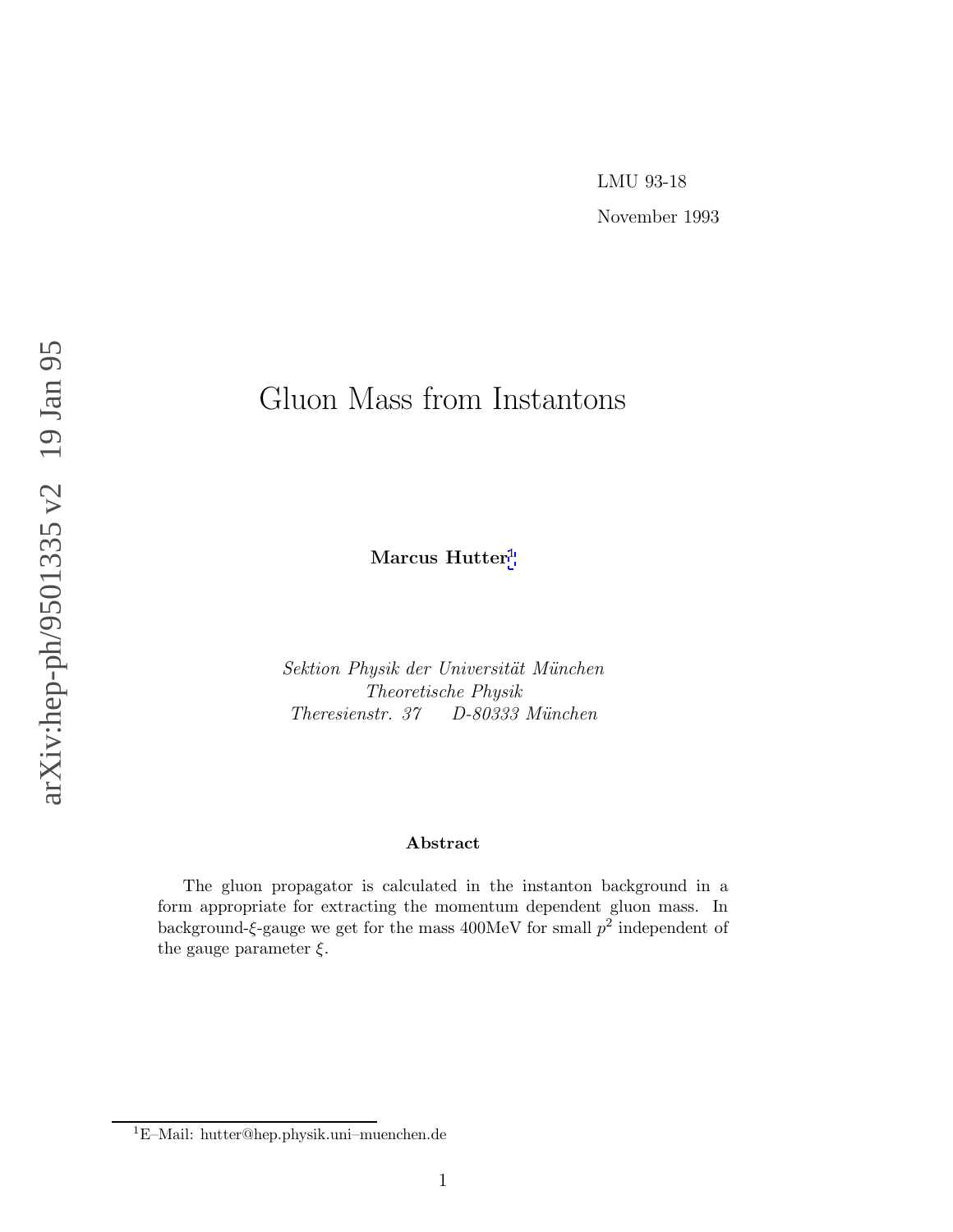November 1993

# Gluon Mass from Instantons

**Marcus Hutter** 1

Sektion Physik der Universität München Theoretische Physik Theresienstr. 37 D-80333 München

#### **Abstract**

The gluon propagator is calculated in the instanton background in a form appropriate for extracting the momentum dependent gluon mass. In background- $\xi$ -gauge we get for the mass 400MeV for small  $p^2$  independent of the gauge parameter  $\xi$ .

<sup>1</sup>E–Mail: hutter@hep.physik.uni–muenchen.de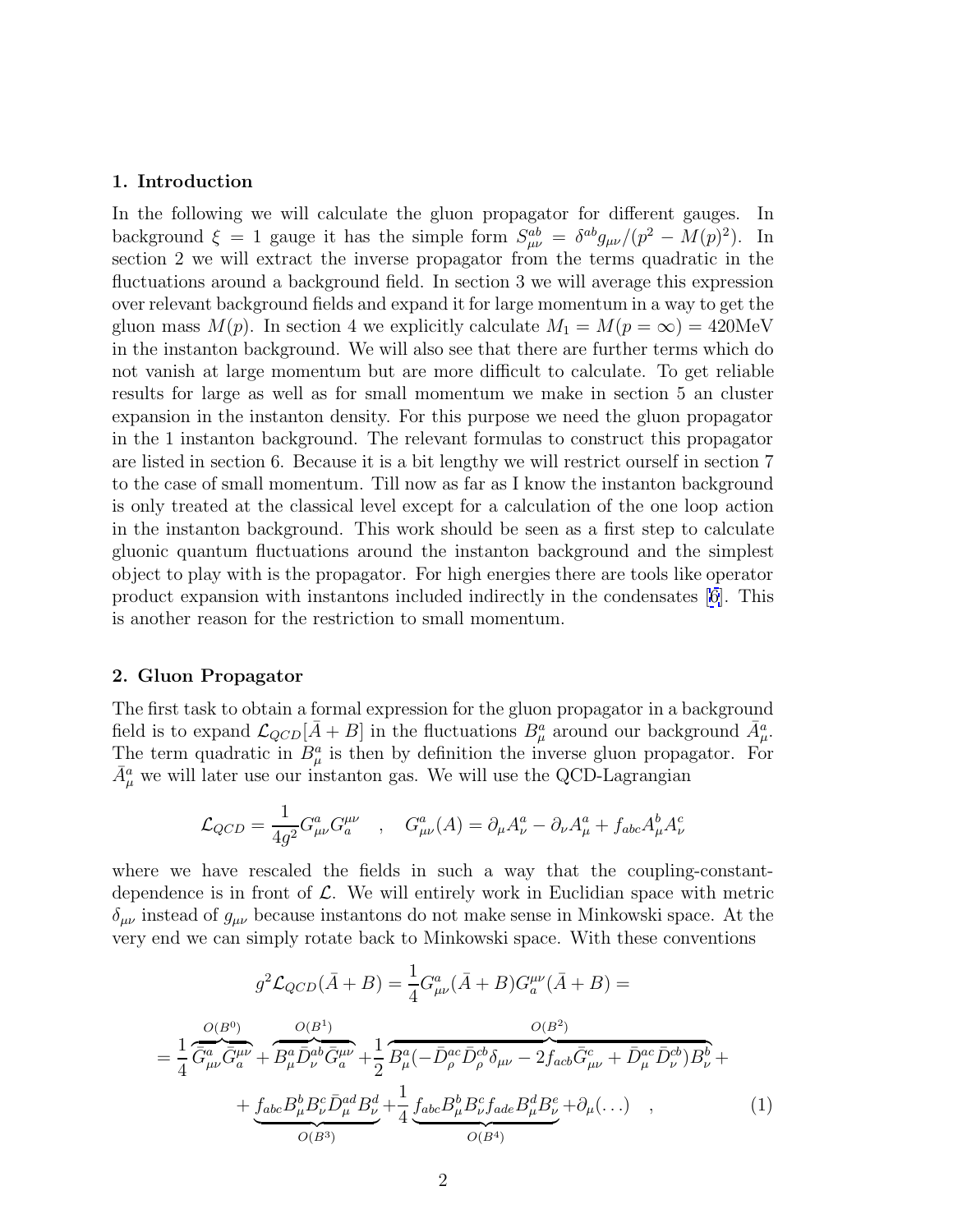#### <span id="page-1-0"></span>**1. Introduction**

In the following we will calculate the gluon propagator for different gauges. In background  $\xi = 1$  gauge it has the simple form  $S_{\mu\nu}^{ab} = \delta^{ab} g_{\mu\nu} / (p^2 - M(p)^2)$ . In section 2 we will extract the inverse propagator from the terms quadratic in the fluctuations around a background field. In section 3 we will average this expression over relevant background fields and expand it for large momentum in a way to get the gluon mass  $M(p)$ . In section 4 we explicitly calculate  $M_1 = M(p = \infty) = 420$ MeV in the instanton background. We will also see that there are further terms which do not vanish at large momentum but are more difficult to calculate. To get reliable results for large as well as for small momentum we make in section 5 an cluster expansion in the instanton density. For this purpose we need the gluon propagator in the 1 instanton background. The relevant formulas to construct this propagator are listed in section 6. Because it is a bit lengthy we will restrict ourself in section 7 to the case of small momentum. Till now as far as I know the instanton background is only treated at the classical level except for a calculation of the one loop action in the instanton background. This work should be seen as a first step to calculate gluonic quantum fluctuations around the instanton background and the simplest object to play with is the propagator. For high energies there are tools like operator product expansion with instantons included indirectly in the condensates [\[6](#page-12-0)]. This is another reason for the restriction to small momentum.

#### **2. Gluon Propagator**

The first task to obtain a formal expression for the gluon propagator in a background field is to expand  $\mathcal{L}_{QCD}[\bar{A}+B]$  in the fluctuations  $B^a_\mu$  around our background  $\bar{A}^a_\mu$ . The term quadratic in  $B^a_\mu$  is then by definition the inverse gluon propagator. For  $\bar{A}^a_\mu$  we will later use our instanton gas. We will use the QCD-Lagrangian

$$
\mathcal{L}_{QCD} = \frac{1}{4g^2} G^a_{\mu\nu} G^{\mu\nu}_a \quad , \quad G^a_{\mu\nu}(A) = \partial_\mu A^a_\nu - \partial_\nu A^a_\mu + f_{abc} A^b_\mu A^c_\nu
$$

where we have rescaled the fields in such a way that the coupling-constantdependence is in front of  $\mathcal{L}$ . We will entirely work in Euclidian space with metric  $\delta_{\mu\nu}$  instead of  $g_{\mu\nu}$  because instantons do not make sense in Minkowski space. At the very end we can simply rotate back to Minkowski space. With these conventions

$$
g^{2}\mathcal{L}_{QCD}(\bar{A}+B) = \frac{1}{4}G_{\mu\nu}^{a}(\bar{A}+B)G_{a}^{\mu\nu}(\bar{A}+B) =
$$

$$
= \frac{1}{4}\overline{G}_{\mu\nu}^{a}\overline{G}_{a}^{\mu\nu} + \overline{B_{\mu}^{a}\overline{D}_{\nu}^{ab}\overline{G}_{a}^{\mu\nu}} + \frac{1}{2}\overline{B_{\mu}^{a}(-\overline{D}_{\rho}^{ac}\overline{D}_{\rho}^{cb}\delta_{\mu\nu} - 2f_{acb}\overline{G}_{\mu\nu}^{c} + \overline{D}_{\mu}^{ac}\overline{D}_{\nu}^{cb})B_{\nu}^{b} +
$$

$$
+ \underbrace{f_{abc}B_{\mu}^{b}B_{\nu}^{c}\overline{D}_{\mu}^{ad}B_{\nu}^{d}}_{O(B^{3})} + \underbrace{1}_{O(B^{3})}\underbrace{f_{abc}B_{\mu}^{b}B_{\nu}^{c}f_{ade}B_{\mu}^{d}B_{\nu}^{e}}_{O(B^{4})} + \partial_{\mu}(\ldots) , \qquad (1)
$$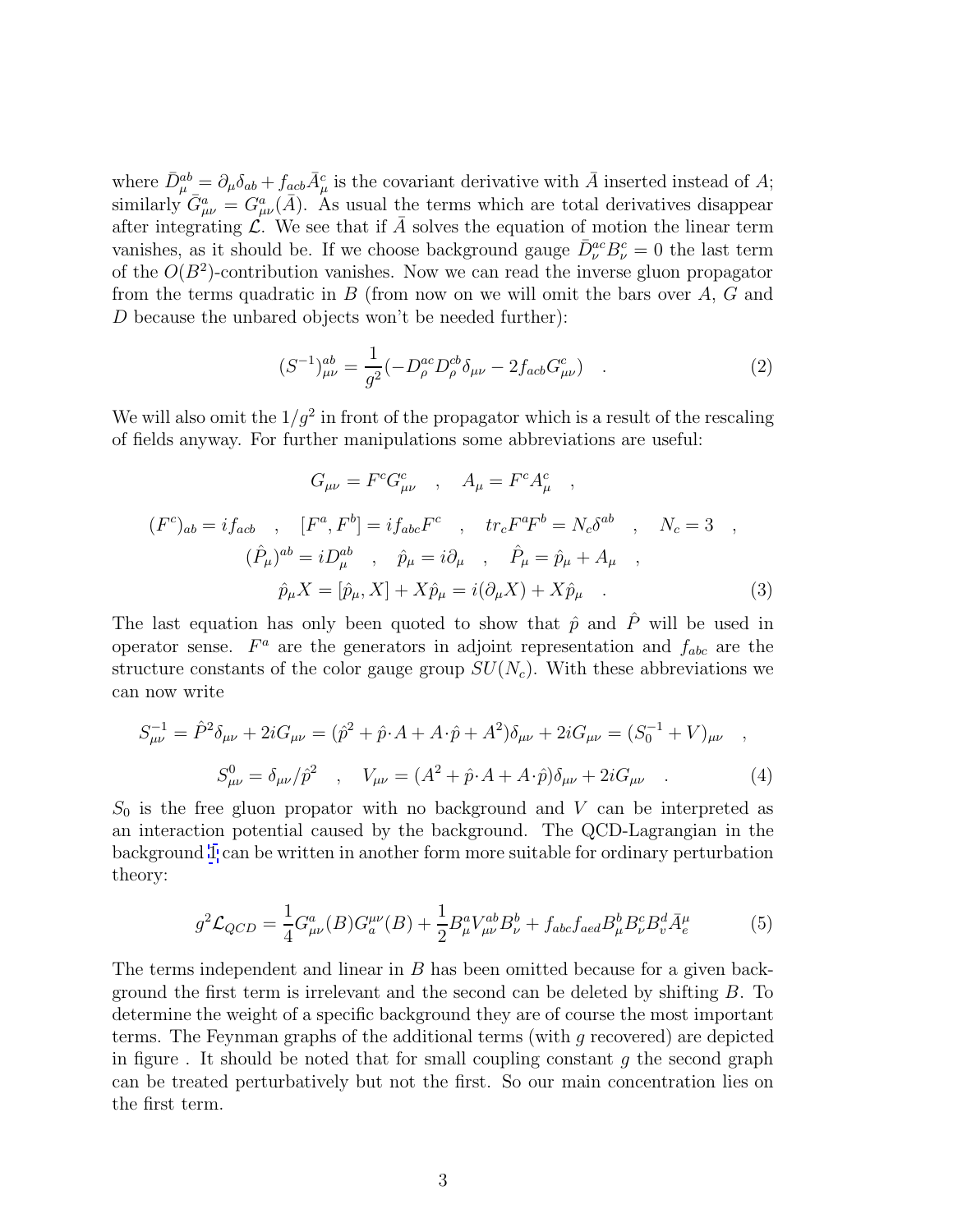<span id="page-2-0"></span>where  $\bar{D}^{ab}_{\mu} = \partial_{\mu}\delta_{ab} + f_{acb}\bar{A}^c_{\mu}$  is the covariant derivative with  $\bar{A}$  inserted instead of A; similarly  $\tilde{G}^a_{\mu\nu} = G^a_{\mu\nu}(\bar{A})$ . As usual the terms which are total derivatives disappear after integrating  $\mathcal{L}$ . We see that if A solves the equation of motion the linear term vanishes, as it should be. If we choose background gauge  $\bar{D}_{\nu}^{ac}B_{\nu}^c=0$  the last term of the  $O(B^2)$ -contribution vanishes. Now we can read the inverse gluon propagator from the terms quadratic in  $B$  (from now on we will omit the bars over  $A, G$  and D because the unbared objects won't be needed further):

$$
(S^{-1})^{ab}_{\mu\nu} = \frac{1}{g^2} (-D^{\alpha c}_{\rho} D^{\alpha b}_{\rho} \delta_{\mu\nu} - 2f_{acb} G^{c}_{\mu\nu}) \quad . \tag{2}
$$

We will also omit the  $1/g^2$  in front of the propagator which is a result of the rescaling of fields anyway. For further manipulations some abbreviations are useful:

$$
G_{\mu\nu} = F^c G^c_{\mu\nu} , A_{\mu} = F^c A^c_{\mu} ,
$$
  
\n
$$
(F^c)_{ab} = i f_{acb} , [F^a, F^b] = i f_{abc} F^c , tr_c F^a F^b = N_c \delta^{ab} , N_c = 3 ,
$$
  
\n
$$
(\hat{P}_{\mu})^{ab} = i D^{\alpha b}_{\mu} , \hat{p}_{\mu} = i \partial_{\mu} , \hat{P}_{\mu} = \hat{p}_{\mu} + A_{\mu} ,
$$
  
\n
$$
\hat{p}_{\mu} X = [\hat{p}_{\mu}, X] + X \hat{p}_{\mu} = i (\partial_{\mu} X) + X \hat{p}_{\mu} .
$$
\n(3)

The last equation has only been quoted to show that  $\hat{p}$  and  $\hat{P}$  will be used in operator sense.  $F^a$  are the generators in adjoint representation and  $f_{abc}$  are the structure constants of the color gauge group  $SU(N_c)$ . With these abbreviations we can now write

$$
S_{\mu\nu}^{-1} = \hat{P}^2 \delta_{\mu\nu} + 2i G_{\mu\nu} = (\hat{p}^2 + \hat{p} \cdot A + A \cdot \hat{p} + A^2) \delta_{\mu\nu} + 2i G_{\mu\nu} = (S_0^{-1} + V)_{\mu\nu} ,
$$
  

$$
S_{\mu\nu}^0 = \delta_{\mu\nu}/\hat{p}^2 , \quad V_{\mu\nu} = (A^2 + \hat{p} \cdot A + A \cdot \hat{p}) \delta_{\mu\nu} + 2i G_{\mu\nu} .
$$
 (4)

 $S_0$  is the free gluon propator with no background and V can be interpreted as an interaction potential caused by the background. The QCD-Lagrangian in the background [1](#page-1-0) can be written in another form more suitable for ordinary perturbation theory:

$$
g^2 \mathcal{L}_{QCD} = \frac{1}{4} G^a_{\mu\nu}(B) G^{\mu\nu}_a(B) + \frac{1}{2} B^a_{\mu} V^{ab}_{\mu\nu} B^b_{\nu} + f_{abc} f_{acd} B^b_{\mu} B^c_{\nu} B^d_{\nu} \bar{A}^{\mu}_e \tag{5}
$$

The terms independent and linear in B has been omitted because for a given background the first term is irrelevant and the second can be deleted by shifting B. To determine the weight of a specific background they are of course the most important terms. The Feynman graphs of the additional terms (with g recovered) are depicted in figure. It should be noted that for small coupling constant  $g$  the second graph can be treated perturbatively but not the first. So our main concentration lies on the first term.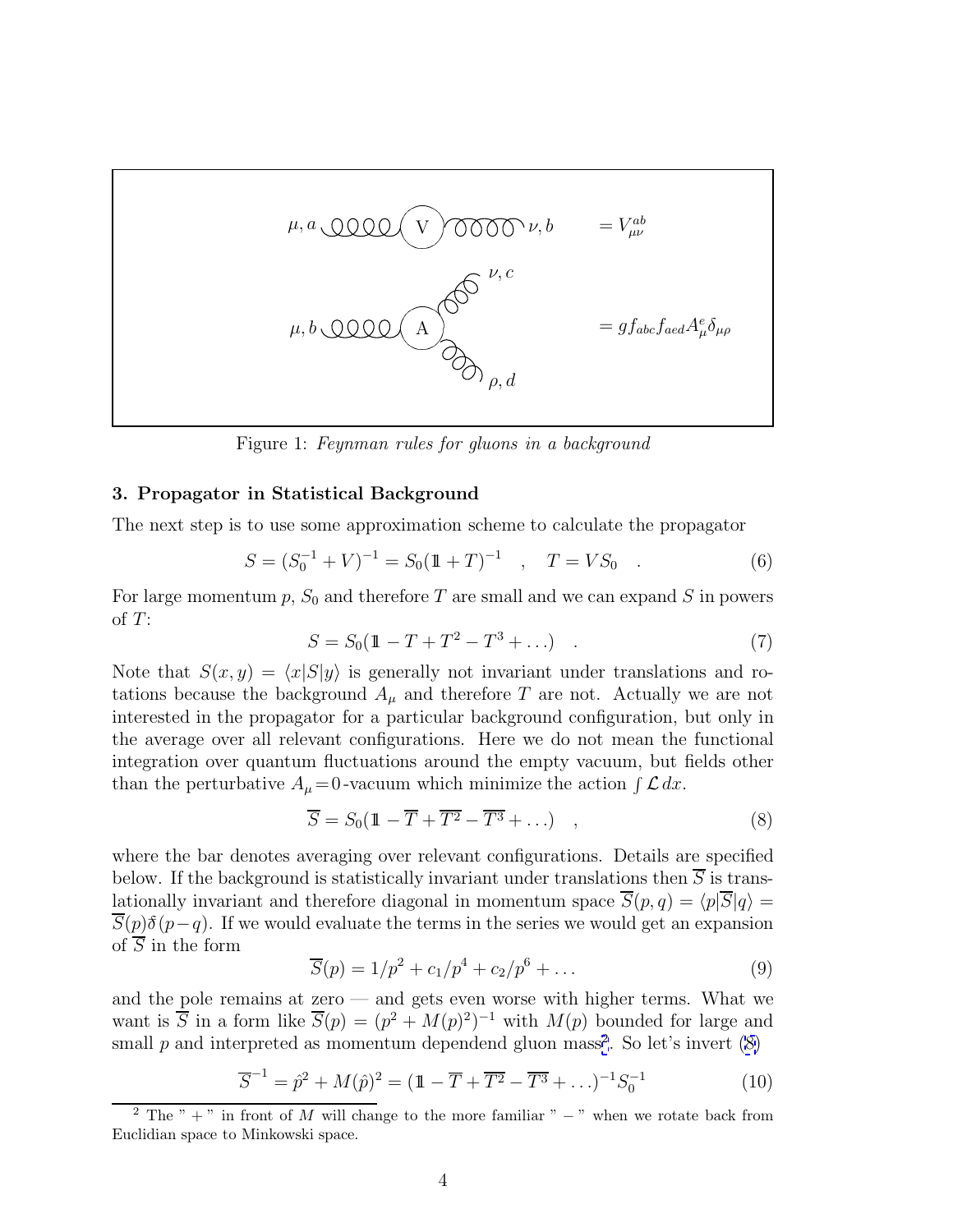<span id="page-3-0"></span>

Figure 1: Feynman rules for gluons in a background

#### **3. Propagator in Statistical Background**

The next step is to use some approximation scheme to calculate the propagator

$$
S = (S_0^{-1} + V)^{-1} = S_0(\mathbb{1} + T)^{-1} \quad , \quad T = VS_0 \quad . \tag{6}
$$

For large momentum  $p$ ,  $S_0$  and therefore T are small and we can expand S in powers of  $T$ :

$$
S = S_0(1 - T + T^2 - T^3 + \dots) \tag{7}
$$

Note that  $S(x, y) = \langle x|S|y \rangle$  is generally not invariant under translations and rotations because the background  $A_\mu$  and therefore T are not. Actually we are not interested in the propagator for a particular background configuration, but only in the average over all relevant configurations. Here we do not mean the functional integration over quantum fluctuations around the empty vacuum, but fields other than the perturbative  $A_{\mu} = 0$ -vacuum which minimize the action  $\int \mathcal{L} dx$ .

$$
\overline{S} = S_0(\mathbb{1} - \overline{T} + \overline{T^2} - \overline{T^3} + \ldots) , \qquad (8)
$$

where the bar denotes averaging over relevant configurations. Details are specified below. If the background is statistically invariant under translations then  $\overline{S}$  is translationally invariant and therefore diagonal in momentum space  $\overline{S}(p,q) = \langle p|\overline{S}|q \rangle =$  $\overline{S}(p)\delta(p-q)$ . If we would evaluate the terms in the series we would get an expansion of  $\overline{S}$  in the form

$$
\overline{S}(p) = 1/p^2 + c_1/p^4 + c_2/p^6 + \dots \tag{9}
$$

and the pole remains at zero — and gets even worse with higher terms. What we want is  $\overline{S}$  in a form like  $\overline{S}(p)=(p^2 + M(p)^2)^{-1}$  with  $M(p)$  bounded for large and small  $p$  and interpreted as momentum dependend gluon mass<sup>2</sup>. So let's invert  $(8)$ 

$$
\overline{S}^{-1} = \hat{p}^2 + M(\hat{p})^2 = (\mathbb{1} - \overline{T} + \overline{T^2} - \overline{T^3} + \ldots)^{-1} S_0^{-1}
$$
(10)

<sup>&</sup>lt;sup>2</sup> The " + " in front of M will change to the more familiar "  $-$  " when we rotate back from Euclidian space to Minkowski space.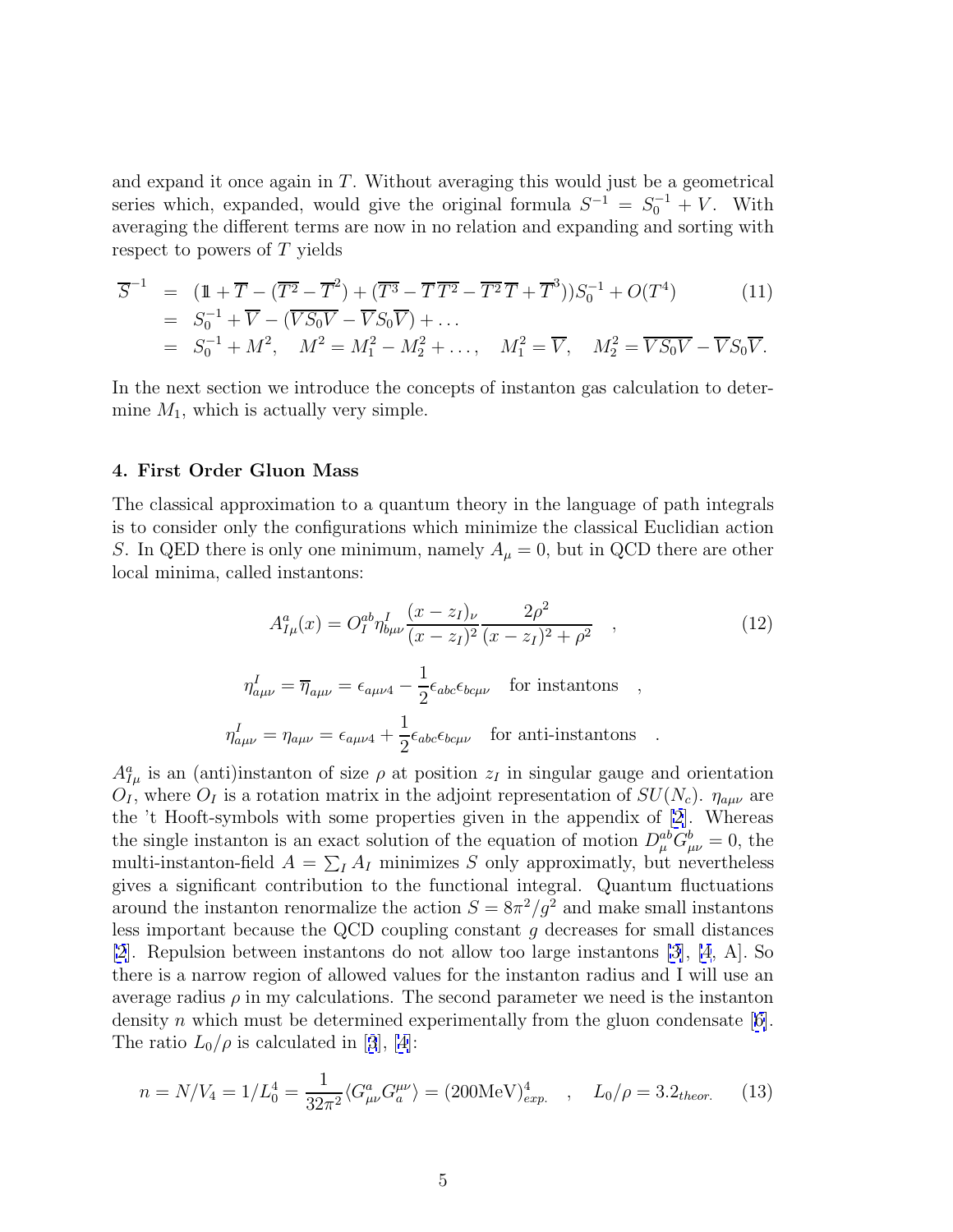<span id="page-4-0"></span>and expand it once again in  $T$ . Without averaging this would just be a geometrical series which, expanded, would give the original formula  $S^{-1} = S_0^{-1} + V$ . With averaging the different terms are now in no relation and expanding and sorting with respect to powers of T yields

$$
\overline{S}^{-1} = (\mathbb{1} + \overline{T} - (\overline{T^2} - \overline{T}^2) + (\overline{T^3} - \overline{T} \overline{T^2} - \overline{T^2} \overline{T} + \overline{T}^3))S_0^{-1} + O(T^4)
$$
\n
$$
= S_0^{-1} + \overline{V} - (\overline{VS_0V} - \overline{VS_0V}) + \dots
$$
\n
$$
= S_0^{-1} + M^2, \quad M^2 = M_1^2 - M_2^2 + \dots, \quad M_1^2 = \overline{V}, \quad M_2^2 = \overline{VS_0V} - \overline{VS_0V}.
$$
\n(11)

In the next section we introduce the concepts of instanton gas calculation to determine  $M_1$ , which is actually very simple.

### **4. First Order Gluon Mass**

The classical approximation to a quantum theory in the language of path integrals is to consider only the configurations which minimize the classical Euclidian action S. In QED there is only one minimum, namely  $A_{\mu} = 0$ , but in QCD there are other local minima, called instantons:

$$
A_{I\mu}^a(x) = O_I^{ab} \eta_{b\mu\nu}^I \frac{(x - z_I)_{\nu}}{(x - z_I)^2} \frac{2\rho^2}{(x - z_I)^2 + \rho^2} , \qquad (12)
$$

$$
\eta_{a\mu\nu}^{I} = \overline{\eta}_{a\mu\nu} = \epsilon_{a\mu\nu4} - \frac{1}{2} \epsilon_{abc} \epsilon_{bc\mu\nu} \quad \text{for instantons} \quad ,
$$
  

$$
\eta_{a\mu\nu}^{I} = \eta_{a\mu\nu} = \epsilon_{a\mu\nu4} + \frac{1}{2} \epsilon_{abc} \epsilon_{bc\mu\nu} \quad \text{for anti-instantons} \quad .
$$

 $A_{I\mu}^a$  is an (anti)instanton of size  $\rho$  at position  $z_I$  in singular gauge and orientation  $O_I$ , where  $O_I$  is a rotation matrix in the adjoint representation of  $SU(N_c)$ .  $\eta_{a\mu\nu}$  are the 't Hooft-symbols with some properties given in the appendix of [\[2\]](#page-11-0). Whereas the single instanton is an exact solution of the equation of motion  $D_{\mu}^{ab}G_{\mu\nu}^{b}=0$ , the multi-instanton-field  $A = \sum_{I} A_{I}$  minimizes S only approximatly, but nevertheless gives a significant contribution to the functional integral. Quantum fluctuations around the instanton renormalize the action  $S = 8\pi^2/q^2$  and make small instantons less important because the QCD coupling constant g decreases for small distances [\[2](#page-11-0)]. Repulsion between instantons do not allow too large instantons [\[3](#page-11-0)], [\[4](#page-12-0), A]. So there is a narrow region of allowed values for the instanton radius and I will use an average radius  $\rho$  in my calculations. The second parameter we need is the instanton density n which must be determined experimentally from the gluon condensate  $[6]$  $[6]$ . The ratio  $L_0/\rho$  is calculated in [[3](#page-11-0)], [\[4\]](#page-12-0):

$$
n = N/V_4 = 1/L_0^4 = \frac{1}{32\pi^2} \langle G_{\mu\nu}^a G_a^{\mu\nu} \rangle = (200 \text{MeV})_{exp.}^4 \quad , \quad L_0/\rho = 3.2_{theor.} \tag{13}
$$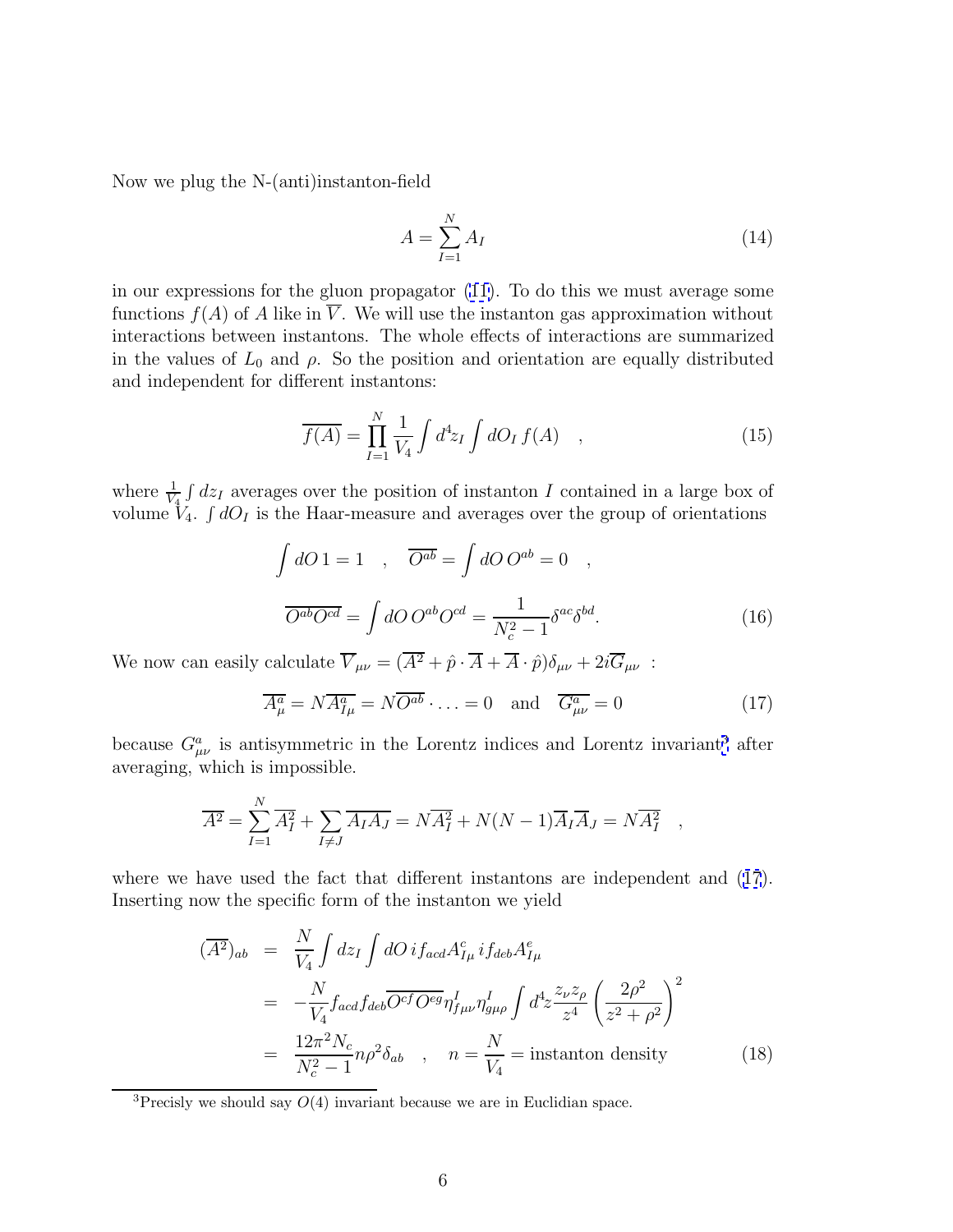Now we plug the N-(anti)instanton-field

$$
A = \sum_{I=1}^{N} A_I \tag{14}
$$

in our expressions for the gluon propagator [\(11\)](#page-4-0). To do this we must average some functions  $f(A)$  of A like in  $\overline{V}$ . We will use the instanton gas approximation without interactions between instantons. The whole effects of interactions are summarized in the values of  $L_0$  and  $\rho$ . So the position and orientation are equally distributed and independent for different instantons:

$$
\overline{f(A)} = \prod_{I=1}^{N} \frac{1}{V_4} \int d^4 z_I \int dO_I f(A) , \qquad (15)
$$

where  $\frac{1}{V_4} \int dz_I$  averages over the position of instanton I contained in a large box of volume  $V_4$ .  $\int dO_I$  is the Haar-measure and averages over the group of orientations

$$
\int dO 1 = 1 \quad , \quad \overline{O^{ab}} = \int dO O^{ab} = 0 \quad ,
$$

$$
\overline{O^{ab}O^{cd}} = \int dO O^{ab} O^{cd} = \frac{1}{N_c^2 - 1} \delta^{ac} \delta^{bd}.
$$
(16)

We now can easily calculate  $\overline{V}_{\mu\nu} = (\overline{A^2} + \hat{p} \cdot \overline{A} + \overline{A} \cdot \hat{p})\delta_{\mu\nu} + 2i \overline{G}_{\mu\nu}$ :

$$
\overline{A^a_\mu} = N \overline{A^a_{I\mu}} = N \overline{O^{ab}} \cdot \ldots = 0 \quad \text{and} \quad \overline{G^a_{\mu\nu}} = 0 \tag{17}
$$

because  $G^a_{\mu\nu}$  is antisymmetric in the Lorentz indices and Lorentz invariant<sup>3</sup> after averaging, which is impossible.

$$
\overline{A^2} = \sum_{I=1}^N \overline{A_I^2} + \sum_{I \neq J} \overline{A_I A_J} = N \overline{A_I^2} + N(N-1) \overline{A_I A_J} = N \overline{A_I^2} ,
$$

where we have used the fact that different instantons are independent and (17). Inserting now the specific form of the instanton we yield

$$
\overline{(A^2)_{ab}} = \frac{N}{V_4} \int dz_I \int dO \, i f_{acd} A^c_{I\mu} i f_{deb} A^e_{I\mu}
$$
\n
$$
= -\frac{N}{V_4} f_{acd} f_{deb} \overline{O^{cf} O^{eg}} \eta^I_{f\mu\nu} \eta^I_{g\mu\rho} \int d^4 z \frac{z_{\nu} z_{\rho}}{z^4} \left(\frac{2\rho^2}{z^2 + \rho^2}\right)^2
$$
\n
$$
= \frac{12\pi^2 N_c}{N_c^2 - 1} n\rho^2 \delta_{ab} , \quad n = \frac{N}{V_4} = \text{instanton density} \tag{18}
$$

<sup>&</sup>lt;sup>3</sup>Precisly we should say  $O(4)$  invariant because we are in Euclidian space.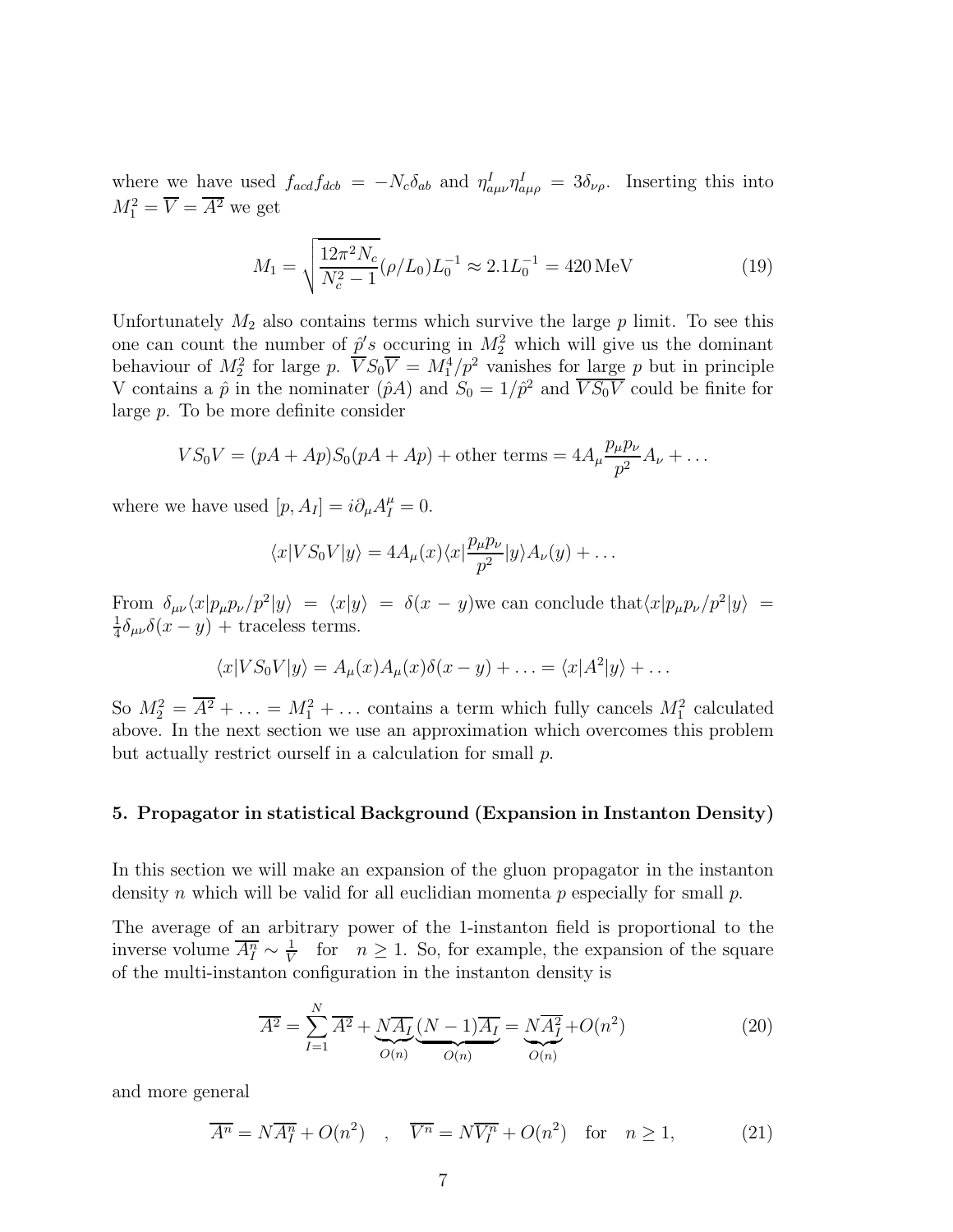<span id="page-6-0"></span>where we have used  $f_{acd}f_{dcb} = -N_c\delta_{ab}$  and  $\eta_{a\mu\nu}^I \eta_{a\mu\rho}^I = 3\delta_{\nu\rho}$ . Inserting this into  $M_1^2 = \overline{V} = \overline{A^2}$  we get

$$
M_1 = \sqrt{\frac{12\pi^2 N_c}{N_c^2 - 1}} (\rho/L_0) L_0^{-1} \approx 2.1 L_0^{-1} = 420 \,\text{MeV}
$$
 (19)

Unfortunately  $M_2$  also contains terms which survive the large  $p$  limit. To see this one can count the number of  $\hat{p}'s$  occuring in  $M_2^2$  which will give us the dominant behaviour of  $M_2^2$  for large p.  $\overline{V}S_0\overline{V} = M_1^4/p^2$  vanishes for large p but in principle V contains a  $\hat{p}$  in the nominater  $(\hat{p}A)$  and  $S_0 = 1/\hat{p}^2$  and  $\overline{VS_0V}$  could be finite for large p. To be more definite consider

$$
VS_0V = (pA + Ap)S_0(pA + Ap) + \text{other terms} = 4A_\mu \frac{p_\mu p_\nu}{p^2}A_\nu + \dots
$$

where we have used  $[p, A_I] = i \partial_\mu A_I^\mu = 0$ .

$$
\langle x|VS_0V|y\rangle = 4A_\mu(x)\langle x|\frac{p_\mu p_\nu}{p^2}|y\rangle A_\nu(y) + \dots
$$

From  $\delta_{\mu\nu}\langle x|p_\mu p_\nu /p^2|y\rangle = \langle x|y\rangle = \delta(x-y)$  we can conclude that  $\langle x|p_\mu p_\nu /p^2|y\rangle =$  $\frac{1}{4}\delta_{\mu\nu}\delta(x-y)$  + traceless terms.

$$
\langle x|VS_0V|y\rangle = A_\mu(x)A_\mu(x)\delta(x-y) + \ldots = \langle x|A^2|y\rangle + \ldots
$$

So  $M_2^2 = \overline{A^2} + \ldots = M_1^2 + \ldots$  contains a term which fully cancels  $M_1^2$  calculated above. In the next section we use an approximation which overcomes this problem but actually restrict ourself in a calculation for small p.

#### **5. Propagator in statistical Background (Expansion in Instanton Density)**

In this section we will make an expansion of the gluon propagator in the instanton density n which will be valid for all euclidian momenta p especially for small  $p$ .

The average of an arbitrary power of the 1-instanton field is proportional to the inverse volume  $\overline{A_I^n} \sim \frac{1}{V}$  for  $n \geq 1$ . So, for example, the expansion of the square of the multi-instanton configuration in the instanton density is

$$
\overline{A^2} = \sum_{I=1}^{N} \overline{A^2} + \underbrace{N\overline{A_I}}_{O(n)} \underbrace{(N-1)\overline{A_I}}_{O(n)} = \underbrace{N\overline{A_I^2}}_{O(n)} + O(n^2)
$$
\n(20)

and more general

$$
\overline{A^n} = N\overline{A_I^n} + O(n^2) \quad , \quad \overline{V^n} = N\overline{V_I^n} + O(n^2) \quad \text{for} \quad n \ge 1,
$$
 (21)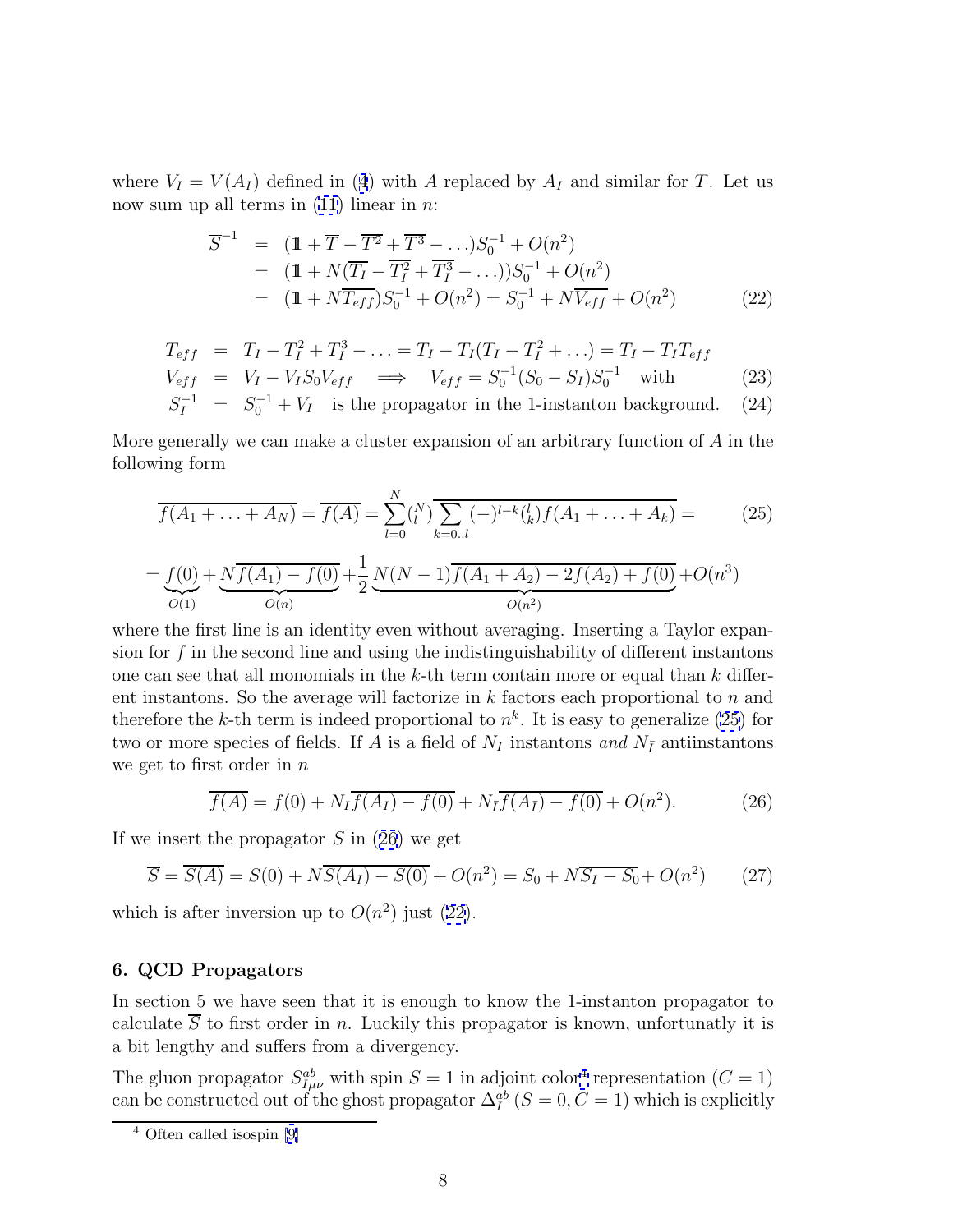<span id="page-7-0"></span>where  $V_I = V(A_I)$  defined in ([4](#page-2-0)) with A replaced by  $A_I$  and similar for T. Let us now sum up all terms in  $(11)$  linear in n:

$$
\overline{S}^{-1} = (\mathbb{1} + \overline{T} - \overline{T^2} + \overline{T^3} - \ldots)S_0^{-1} + O(n^2)
$$
  
=  $(\mathbb{1} + N(\overline{T_I} - \overline{T_I^2} + \overline{T_I^3} - \ldots))S_0^{-1} + O(n^2)$   
=  $(\mathbb{1} + N\overline{T_{eff}})S_0^{-1} + O(n^2) = S_0^{-1} + N\overline{V_{eff}} + O(n^2)$  (22)

$$
T_{eff} = T_I - T_I^2 + T_I^3 - \dots = T_I - T_I(T_I - T_I^2 + \dots) = T_I - T_I T_{eff}
$$
  
\n
$$
V_{eff} = V_I - V_I S_0 V_{eff} \implies V_{eff} = S_0^{-1} (S_0 - S_I) S_0^{-1} \text{ with}
$$
  
\n
$$
S_0^{-1} = S_0^{-1} + V_{eff} \text{ is the property to the 1 interaction background}
$$
 (24)

$$
S_I^{-1} = S_0^{-1} + V_I
$$
 is the propagator in the 1-instanton background. (24)

More generally we can make a cluster expansion of an arbitrary function of  $A$  in the following form

$$
\overline{f(A_1 + \ldots + A_N)} = \overline{f(A)} = \sum_{l=0}^{N} {N \choose l} \overline{\sum_{k=0..l} (-)^{l-k} {l \choose k} f(A_1 + \ldots + A_k)} = (25)
$$

$$
= \underbrace{f(0)}_{O(1)} + \underbrace{N\overline{f(A_1) - f(0)}}_{O(n)} + \frac{1}{2} \underbrace{N(N-1)\overline{f(A_1 + A_2) - 2f(A_2) + f(0)}}_{O(n^2)} + O(n^3)
$$

where the first line is an identity even without averaging. Inserting a Taylor expansion for  $f$  in the second line and using the indistinguishability of different instantons one can see that all monomials in the  $k$ -th term contain more or equal than  $k$  different instantons. So the average will factorize in  $k$  factors each proportional to  $n$  and therefore the k-th term is indeed proportional to  $n^k$ . It is easy to generalize (25) for two or more species of fields. If A is a field of  $N_I$  instantons and  $N_{\overline{I}}$  antiinstantons we get to first order in  $n$ 

$$
\overline{f(A)} = f(0) + N_I \overline{f(A_I) - f(0)} + N_{\overline{I}} \overline{f(A_{\overline{I}}) - f(0)} + O(n^2).
$$
 (26)

If we insert the propagator  $S$  in (26) we get

$$
\overline{S} = \overline{S(A)} = S(0) + N\overline{S(A_I) - S(0)} + O(n^2) = S_0 + N\overline{S_I - S_0} + O(n^2)
$$
 (27)

which is after inversion up to  $O(n^2)$  just (22).

#### **6. QCD Propagators**

In section 5 we have seen that it is enough to know the 1-instanton propagator to calculate  $\overline{S}$  to first order in n. Luckily this propagator is known, unfortunatly it is a bit lengthy and suffers from a divergency.

The gluon propagator  $S_{I\mu\nu}^{ab}$  with spin  $S = 1$  in adjoint color<sup>4</sup> representation  $(C = 1)$ can be constructed out of the ghost propagator  $\Delta_I^{ab}$  ( $S = 0, C = 1$ ) which is explicitly

<sup>4</sup> Often called isospin [[9\]](#page-12-0)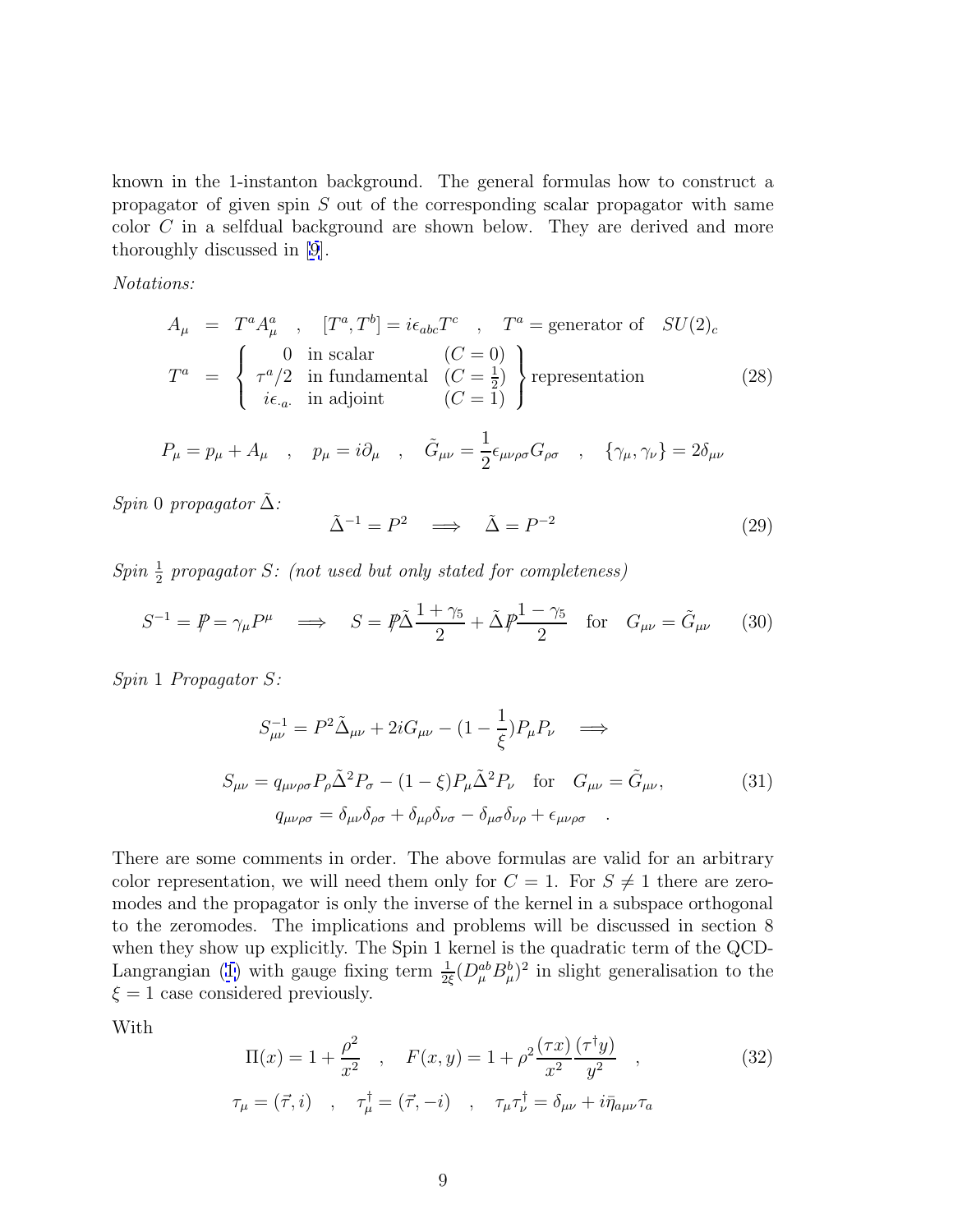<span id="page-8-0"></span>known in the 1-instanton background. The general formulas how to construct a propagator of given spin  $S$  out of the corresponding scalar propagator with same color C in a selfdual background are shown below. They are derived and more thoroughly discussed in [\[9](#page-12-0)].

Notations:

$$
A_{\mu} = T^{a} A_{\mu}^{a} , [T^{a}, T^{b}] = i\epsilon_{abc} T^{c} , T^{a} = \text{generator of } SU(2)_{c}
$$
  

$$
T^{a} = \begin{cases} 0 & \text{in scalar} & (C = 0) \\ \tau^{a}/2 & \text{in fundamental} & (C = \frac{1}{2}) \\ i\epsilon_{a} & \text{in adjoint} & (C = 1) \end{cases} \text{representation}
$$
(28)

$$
P_{\mu} = p_{\mu} + A_{\mu} \quad , \quad p_{\mu} = i \partial_{\mu} \quad , \quad \tilde{G}_{\mu\nu} = \frac{1}{2} \epsilon_{\mu\nu\rho\sigma} G_{\rho\sigma} \quad , \quad \{\gamma_{\mu}, \gamma_{\nu}\} = 2 \delta_{\mu\nu}
$$

Spin 0 propagator  $\tilde{\Delta}$ :

$$
\tilde{\Delta}^{-1} = P^2 \implies \tilde{\Delta} = P^{-2} \tag{29}
$$

 $Spin \frac{1}{2}$  propagator S: (not used but only stated for completeness)

$$
S^{-1} = P \psi = \gamma_{\mu} P^{\mu} \implies S = P \tilde{\Delta} \frac{1 + \gamma_5}{2} + \tilde{\Delta} P \frac{1 - \gamma_5}{2} \quad \text{for} \quad G_{\mu\nu} = \tilde{G}_{\mu\nu} \tag{30}
$$

Spin 1 Propagator S:

$$
S_{\mu\nu}^{-1} = P^2 \tilde{\Delta}_{\mu\nu} + 2i G_{\mu\nu} - (1 - \frac{1}{\xi}) P_{\mu} P_{\nu} \implies
$$
  
\n
$$
S_{\mu\nu} = q_{\mu\nu\rho\sigma} P_{\rho} \tilde{\Delta}^2 P_{\sigma} - (1 - \xi) P_{\mu} \tilde{\Delta}^2 P_{\nu} \quad \text{for} \quad G_{\mu\nu} = \tilde{G}_{\mu\nu},
$$
  
\n
$$
q_{\mu\nu\rho\sigma} = \delta_{\mu\nu} \delta_{\rho\sigma} + \delta_{\mu\rho} \delta_{\nu\sigma} - \delta_{\mu\sigma} \delta_{\nu\rho} + \epsilon_{\mu\nu\rho\sigma}.
$$
\n(31)

There are some comments in order. The above formulas are valid for an arbitrary color representation, we will need them only for  $C = 1$ . For  $S \neq 1$  there are zeromodes and the propagator is only the inverse of the kernel in a subspace orthogonal to the zeromodes. The implications and problems will be discussed in section 8 when they show up explicitly. The Spin 1 kernel is the quadratic term of the QCD-Langrangian [\(1\)](#page-1-0) with gauge fixing term  $\frac{1}{2\xi}(D_{\mu}^{ab}B_{\mu}^{b})^{2}$  in slight generalisation to the  $\xi = 1$  case considered previously.

With

$$
\Pi(x) = 1 + \frac{\rho^2}{x^2} \quad , \quad F(x, y) = 1 + \rho^2 \frac{(\tau x)}{x^2} \frac{(\tau^{\dagger} y)}{y^2} \quad , \tag{32}
$$
\n
$$
\tau_{\mu} = (\vec{\tau}, i) \quad , \quad \tau_{\mu}^{\dagger} = (\vec{\tau}, -i) \quad , \quad \tau_{\mu}\tau_{\nu}^{\dagger} = \delta_{\mu\nu} + i\bar{\eta}_{a\mu\nu}\tau_a
$$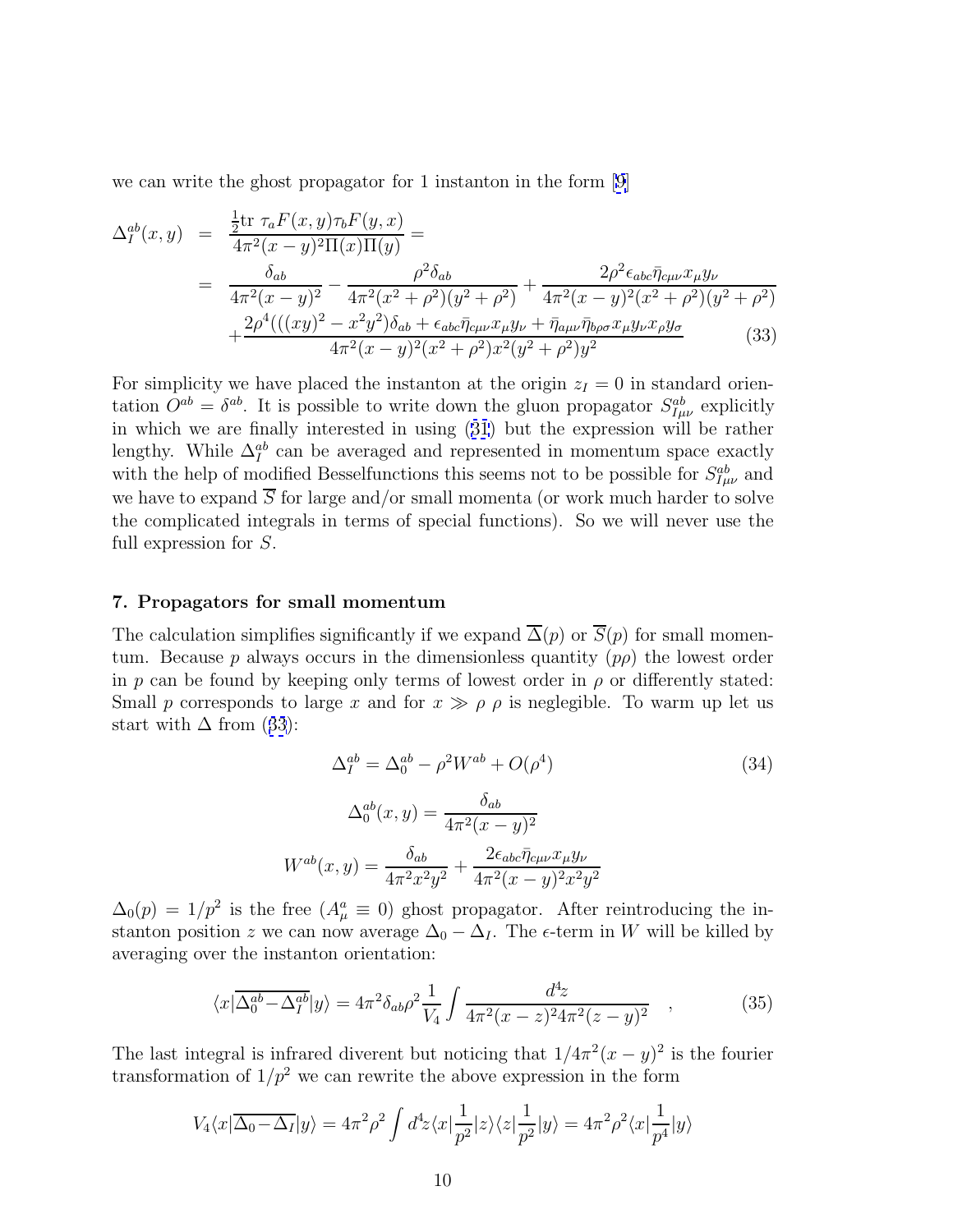<span id="page-9-0"></span>we can write the ghost propagator for 1 instanton in the form [\[9\]](#page-12-0)

$$
\Delta_{I}^{ab}(x,y) = \frac{\frac{1}{2}\text{tr}\,\,\tau_{a}F(x,y)\tau_{b}F(y,x)}{4\pi^{2}(x-y)^{2}\Pi(x)\Pi(y)} = \n= \frac{\delta_{ab}}{4\pi^{2}(x-y)^{2}} - \frac{\rho^{2}\delta_{ab}}{4\pi^{2}(x^{2}+\rho^{2})(y^{2}+\rho^{2})} + \frac{2\rho^{2}\epsilon_{abc}\bar{\eta}_{c\mu\nu}x_{\mu}y_{\nu}}{4\pi^{2}(x-y)^{2}(x^{2}+\rho^{2})(y^{2}+\rho^{2})} + \frac{2\rho^{4}(((xy)^{2}-x^{2}y^{2})\delta_{ab}+\epsilon_{abc}\bar{\eta}_{c\mu\nu}x_{\mu}y_{\nu}+\bar{\eta}_{a\mu\nu}\bar{\eta}_{b\rho\sigma}x_{\mu}y_{\nu}x_{\rho}y_{\sigma}}{4\pi^{2}(x-y)^{2}(x^{2}+\rho^{2})x^{2}(y^{2}+\rho^{2})y^{2}} \tag{33}
$$

For simplicity we have placed the instanton at the origin  $z_I = 0$  in standard orientation  $O^{ab} = \delta^{ab}$ . It is possible to write down the gluon propagator  $S_{I\mu\nu}^{ab}$  explicitly in which we are finally interested in using ([31](#page-8-0)) but the expression will be rather lengthy. While  $\Delta_I^{ab}$  can be averaged and represented in momentum space exactly with the help of modified Bessel functions this seems not to be possible for  $S_{I\mu\nu}^{ab}$  and we have to expand  $\overline{S}$  for large and/or small momenta (or work much harder to solve the complicated integrals in terms of special functions). So we will never use the full expression for S.

#### **7. Propagators for small momentum**

The calculation simplifies significantly if we expand  $\overline{\Delta}(p)$  or  $\overline{S}(p)$  for small momentum. Because p always occurs in the dimensionless quantity  $(p\rho)$  the lowest order in p can be found by keeping only terms of lowest order in  $\rho$  or differently stated: Small p corresponds to large x and for  $x \gg \rho \rho$  is neglegible. To warm up let us start with  $\Delta$  from (33):

$$
\Delta_{I}^{ab} = \Delta_{0}^{ab} - \rho^{2} W^{ab} + O(\rho^{4})
$$
\n
$$
\Delta_{0}^{ab}(x, y) = \frac{\delta_{ab}}{4\pi^{2}(x - y)^{2}}
$$
\n
$$
W^{ab}(x, y) = \frac{\delta_{ab}}{4\pi^{2}x^{2}y^{2}} + \frac{2\epsilon_{abc}\bar{\eta}_{c\mu\nu}x_{\mu}y_{\nu}}{4\pi^{2}(x - y)^{2}x^{2}y^{2}}
$$
\n(34)

 $\Delta_0(p) = 1/p^2$  is the free  $(A^a_\mu \equiv 0)$  ghost propagator. After reintroducing the instanton position z we can now average  $\Delta_0 - \Delta_I$ . The  $\epsilon$ -term in W will be killed by averaging over the instanton orientation:

$$
\langle x|\overline{\Delta_0^{ab}-\Delta_I^{ab}}|y\rangle = 4\pi^2\delta_{ab}\rho^2\frac{1}{V_4}\int \frac{d^4z}{4\pi^2(x-z)^24\pi^2(z-y)^2} ,\qquad (35)
$$

The last integral is infrared diverent but noticing that  $1/4\pi^2(x-y)^2$  is the fourier transformation of  $1/p^2$  we can rewrite the above expression in the form

$$
V_4\langle x|\overline{\Delta_0-\Delta_I}|y\rangle = 4\pi^2\rho^2 \int d^4z \langle x|\frac{1}{p^2}|z\rangle \langle z|\frac{1}{p^2}|y\rangle = 4\pi^2\rho^2 \langle x|\frac{1}{p^4}|y\rangle
$$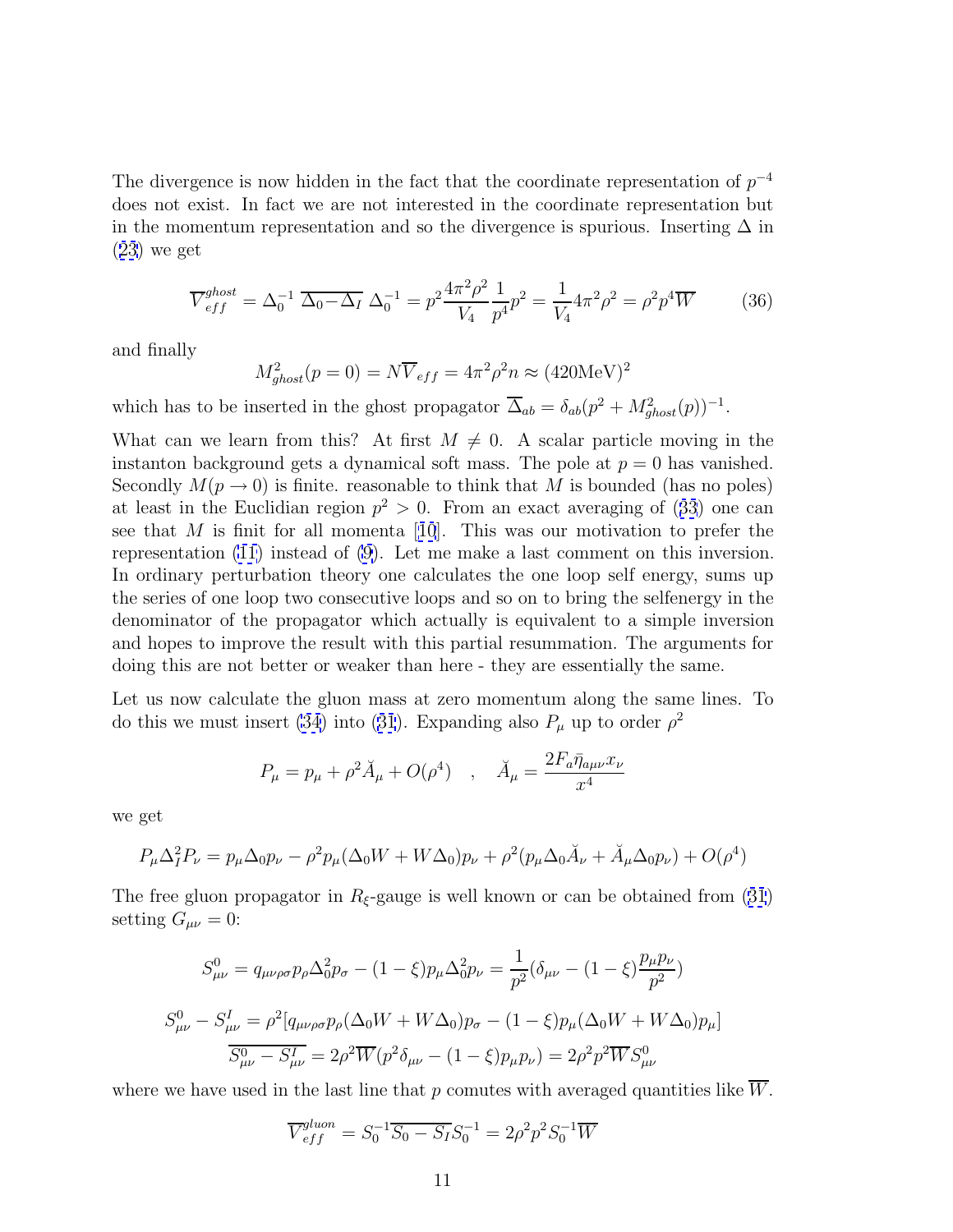The divergence is now hidden in the fact that the coordinate representation of  $p^{-4}$ does not exist. In fact we are not interested in the coordinate representation but in the momentum representation and so the divergence is spurious. Inserting  $\Delta$  in ([23](#page-7-0)) we get

$$
\overline{V}_{eff}^{ghost} = \Delta_0^{-1} \overline{\Delta_0 - \Delta_I} \Delta_0^{-1} = p^2 \frac{4\pi^2 \rho^2}{V_4} \frac{1}{p^4} p^2 = \frac{1}{V_4} 4\pi^2 \rho^2 = \rho^2 p^4 \overline{W}
$$
 (36)

and finally

$$
M_{ghost}^2(p=0) = N\overline{V}_{eff} = 4\pi^2 \rho^2 n \approx (420 \text{MeV})^2
$$

which has to be inserted in the ghost propagator  $\overline{\Delta}_{ab} = \delta_{ab}(p^2 + M_{ghost}^2(p))^{-1}$ .

What can we learn from this? At first  $M \neq 0$ . A scalar particle moving in the instanton background gets a dynamical soft mass. The pole at  $p = 0$  has vanished. Secondly  $M(p \to 0)$  is finite. reasonable to think that M is bounded (has no poles) at least in the Euclidian region  $p^2 > 0$ . From an exact averaging of ([33](#page-9-0)) one can see that M is finit for all momenta [[10](#page-12-0)]. This was our motivation to prefer the representation [\(11\)](#page-4-0) instead of [\(9](#page-3-0)). Let me make a last comment on this inversion. In ordinary perturbation theory one calculates the one loop self energy, sums up the series of one loop two consecutive loops and so on to bring the selfenergy in the denominator of the propagator which actually is equivalent to a simple inversion and hopes to improve the result with this partial resummation. The arguments for doing this are not better or weaker than here - they are essentially the same.

Let us now calculate the gluon mass at zero momentum along the same lines. To do this we must insert [\(34\)](#page-9-0) into ([31](#page-8-0)). Expanding also  $P_{\mu}$  up to order  $\rho^2$ 

$$
P_{\mu} = p_{\mu} + \rho^2 \breve{A}_{\mu} + O(\rho^4) \quad , \quad \breve{A}_{\mu} = \frac{2F_a \bar{\eta}_{a\mu\nu} x_{\nu}}{x^4}
$$

we get

$$
P_{\mu}\Delta^2_{I}P_{\nu} = p_{\mu}\Delta_{0}p_{\nu} - \rho^2 p_{\mu}(\Delta_{0}W + W\Delta_{0})p_{\nu} + \rho^2(p_{\mu}\Delta_{0}\breve{A}_{\nu} + \breve{A}_{\mu}\Delta_{0}p_{\nu}) + O(\rho^4)
$$

The free gluon propagator in  $R_{\xi}$ -gauge is well known or can be obtained from [\(31](#page-8-0)) setting  $G_{\mu\nu}=0$ :

$$
S_{\mu\nu}^{0} = q_{\mu\nu\rho\sigma} p_{\rho} \Delta_{0}^{2} p_{\sigma} - (1 - \xi) p_{\mu} \Delta_{0}^{2} p_{\nu} = \frac{1}{p^{2}} (\delta_{\mu\nu} - (1 - \xi) \frac{p_{\mu} p_{\nu}}{p^{2}})
$$
  

$$
S_{\mu\nu}^{0} - S_{\mu\nu}^{I} = \rho^{2} [q_{\mu\nu\rho\sigma} p_{\rho} (\Delta_{0} W + W \Delta_{0}) p_{\sigma} - (1 - \xi) p_{\mu} (\Delta_{0} W + W \Delta_{0}) p_{\mu}]
$$
  

$$
\overline{S_{\mu\nu}^{0} - S_{\mu\nu}^{I}} = 2\rho^{2} \overline{W} (p^{2} \delta_{\mu\nu} - (1 - \xi) p_{\mu} p_{\nu}) = 2\rho^{2} p^{2} \overline{W} S_{\mu\nu}^{0}
$$

where we have used in the last line that  $p$  comutes with averaged quantities like  $W$ .

$$
\overline{V}_{eff}^{gluon} = S_0^{-1} \overline{S_0 - S_I} S_0^{-1} = 2\rho^2 p^2 S_0^{-1} \overline{W}
$$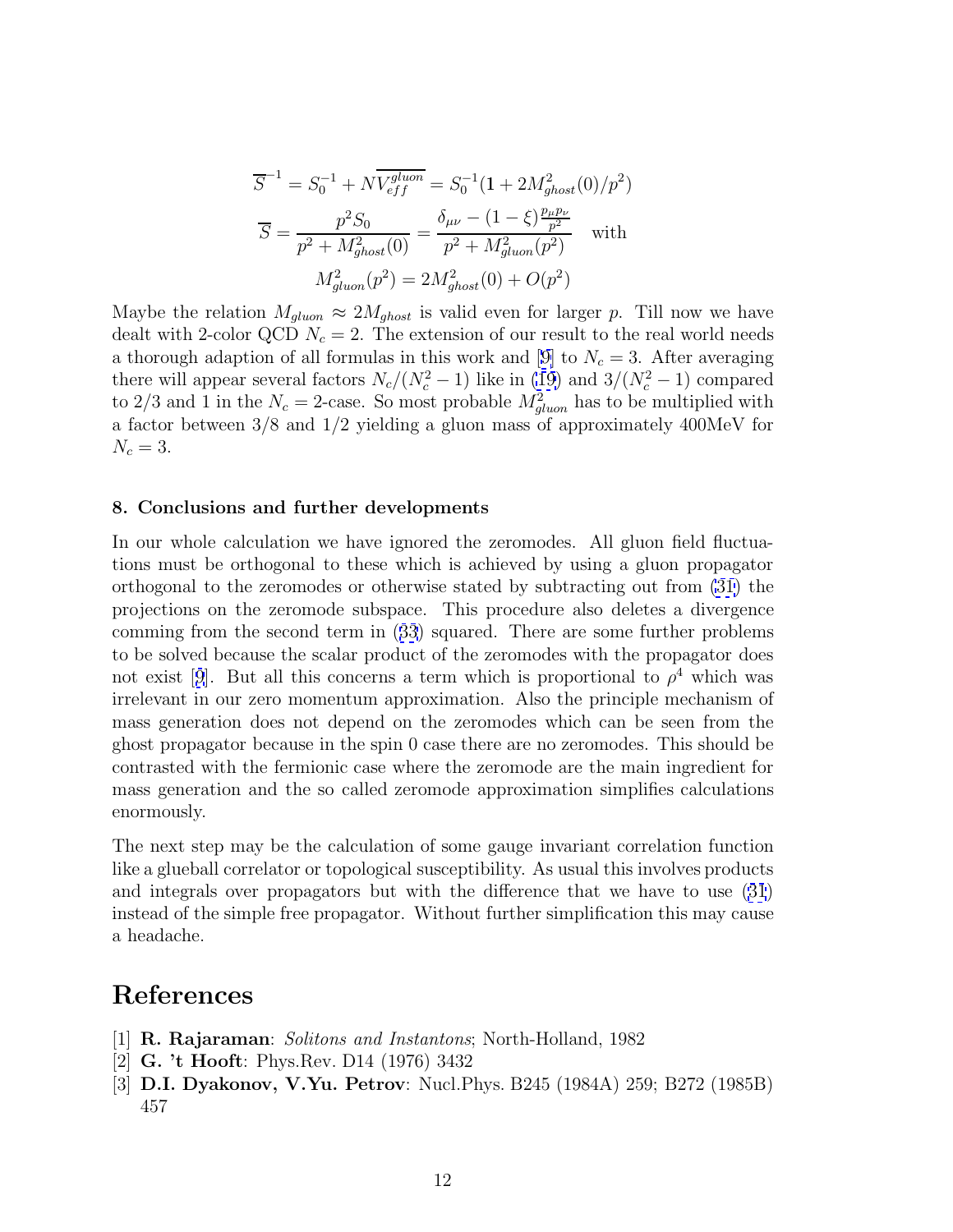<span id="page-11-0"></span>
$$
\overline{S}^{-1} = S_0^{-1} + N \overline{V_{eff}^{gluon}} = S_0^{-1} (1 + 2M_{ghost}^2(0)/p^2)
$$

$$
\overline{S} = \frac{p^2 S_0}{p^2 + M_{ghost}^2(0)} = \frac{\delta_{\mu\nu} - (1 - \xi) \frac{p_{\mu}p_{\nu}}{p^2}}{p^2 + M_{gluon}^2(p^2)} \quad \text{with}
$$

$$
M_{gluon}^2(p^2) = 2M_{ghost}^2(0) + O(p^2)
$$

Maybe the relation  $M_{gluon} \approx 2M_{ghost}$  is valid even for larger p. Till now we have dealt with 2-color QCD  $N_c = 2$ . The extension of our result to the real world needs a thorough adaption of all formulas in this work and [[9\]](#page-12-0) to  $N_c = 3$ . After averaging there will appear several factors  $N_c/(N_c^2-1)$  like in [\(19\)](#page-6-0) and  $3/(N_c^2-1)$  compared to 2/3 and 1 in the  $N_c = 2$ -case. So most probable  $M_{gluon}^2$  has to be multiplied with a factor between 3/8 and 1/2 yielding a gluon mass of approximately 400MeV for  $N_c = 3$ .

#### **8. Conclusions and further developments**

In our whole calculation we have ignored the zeromodes. All gluon field fluctuations must be orthogonal to these which is achieved by using a gluon propagator orthogonal to the zeromodes or otherwise stated by subtracting out from [\(31\)](#page-8-0) the projections on the zeromode subspace. This procedure also deletes a divergence comming from the second term in ([33](#page-9-0)) squared. There are some further problems to be solved because the scalar product of the zeromodes with the propagator does not exist [[9](#page-12-0)]. But all this concerns a term which is proportional to  $\rho^4$  which was irrelevant in our zero momentum approximation. Also the principle mechanism of mass generation does not depend on the zeromodes which can be seen from the ghost propagator because in the spin 0 case there are no zeromodes. This should be contrasted with the fermionic case where the zeromode are the main ingredient for mass generation and the so called zeromode approximation simplifies calculations enormously.

The next step may be the calculation of some gauge invariant correlation function like a glueball correlator or topological susceptibility. As usual this involves products and integrals over propagators but with the difference that we have to use [\(31](#page-8-0)) instead of the simple free propagator. Without further simplification this may cause a headache.

## **References**

- [1] **R. Rajaraman**: Solitons and Instantons; North-Holland, 1982
- [2] **G. 't Hooft**: Phys.Rev. D14 (1976) 3432
- [3] **D.I. Dyakonov, V.Yu. Petrov**: Nucl.Phys. B245 (1984A) 259; B272 (1985B) 457